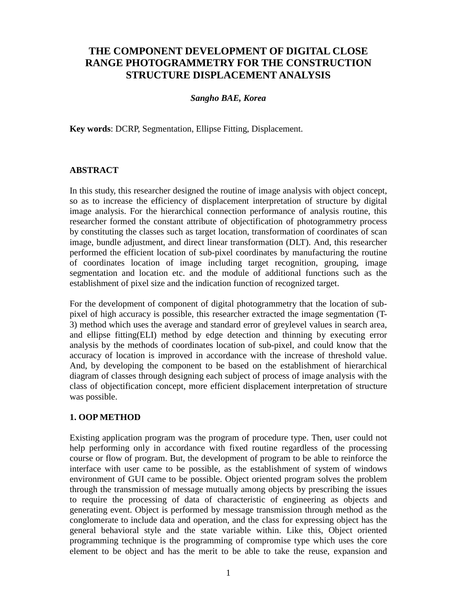# **THE COMPONENT DEVELOPMENT OF DIGITAL CLOSE RANGE PHOTOGRAMMETRY FOR THE CONSTRUCTION STRUCTURE DISPLACEMENT ANALYSIS**

# *Sangho BAE, Korea*

**Key words**: DCRP, Segmentation, Ellipse Fitting, Displacement.

#### **ABSTRACT**

In this study, this researcher designed the routine of image analysis with object concept, so as to increase the efficiency of displacement interpretation of structure by digital image analysis. For the hierarchical connection performance of analysis routine, this researcher formed the constant attribute of objectification of photogrammetry process by constituting the classes such as target location, transformation of coordinates of scan image, bundle adjustment, and direct linear transformation (DLT). And, this researcher performed the efficient location of sub-pixel coordinates by manufacturing the routine of coordinates location of image including target recognition, grouping, image segmentation and location etc. and the module of additional functions such as the establishment of pixel size and the indication function of recognized target.

For the development of component of digital photogrammetry that the location of subpixel of high accuracy is possible, this researcher extracted the image segmentation (T-3) method which uses the average and standard error of greylevel values in search area, and ellipse fitting(ELI) method by edge detection and thinning by executing error analysis by the methods of coordinates location of sub-pixel, and could know that the accuracy of location is improved in accordance with the increase of threshold value. And, by developing the component to be based on the establishment of hierarchical diagram of classes through designing each subject of process of image analysis with the class of objectification concept, more efficient displacement interpretation of structure was possible.

# **1. OOP METHOD**

Existing application program was the program of procedure type. Then, user could not help performing only in accordance with fixed routine regardless of the processing course or flow of program. But, the development of program to be able to reinforce the interface with user came to be possible, as the establishment of system of windows environment of GUI came to be possible. Object oriented program solves the problem through the transmission of message mutually among objects by prescribing the issues to require the processing of data of characteristic of engineering as objects and generating event. Object is performed by message transmission through method as the conglomerate to include data and operation, and the class for expressing object has the general behavioral style and the state variable within. Like this, Object oriented programming technique is the programming of compromise type which uses the core element to be object and has the merit to be able to take the reuse, expansion and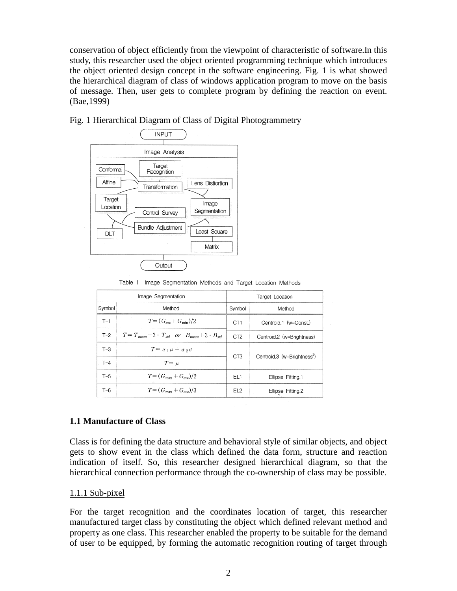conservation of object efficiently from the viewpoint of characteristic of software.In this study, this researcher used the object oriented programming technique which introduces the object oriented design concept in the software engineering. Fig. 1 is what showed the hierarchical diagram of class of windows application program to move on the basis of message. Then, user gets to complete program by defining the reaction on event. (Bae,1999)



### Fig. 1 Hierarchical Diagram of Class of Digital Photogrammetry

Table 1 Image Segmentation Methods and Target Location Methods

| Image Segmentation |                                                                  |                  | Target Location                         |  |  |
|--------------------|------------------------------------------------------------------|------------------|-----------------------------------------|--|--|
| Symbol             | Method                                                           | Symbol<br>Method |                                         |  |  |
| $T-1$              | $T = (G_{ave} + G_{min})/2$                                      | CT <sub>1</sub>  | Centroid.1 (w=Const.)                   |  |  |
| $T-2$              | $T = T_{mean} - 3 \cdot T_{std}$ or $B_{mean} + 3 \cdot B_{std}$ | CT <sub>2</sub>  | Centroid.2 (w=Brightness)               |  |  |
| $T-3$              | $T = \alpha_1 \mu + \alpha_2 \sigma$                             | C <sub>T3</sub>  | Centroid.3 (w=Brightness <sup>2</sup> ) |  |  |
| $T - 4$            | $T = \mu$                                                        |                  |                                         |  |  |
| $T-5$              | $T = (G_{\text{max}} + G_{\text{ave}})/2$                        | EL1              | Ellipse Fitting.1                       |  |  |
| T-6                | $T = (G_{\text{max}} + G_{ave})/3$                               | EL <sub>2</sub>  | Ellipse Fitting.2                       |  |  |

# **1.1 Manufacture of Class**

Class is for defining the data structure and behavioral style of similar objects, and object gets to show event in the class which defined the data form, structure and reaction indication of itself. So, this researcher designed hierarchical diagram, so that the hierarchical connection performance through the co-ownership of class may be possible.

#### 1.1.1 Sub-pixel

For the target recognition and the coordinates location of target, this researcher manufactured target class by constituting the object which defined relevant method and property as one class. This researcher enabled the property to be suitable for the demand of user to be equipped, by forming the automatic recognition routing of target through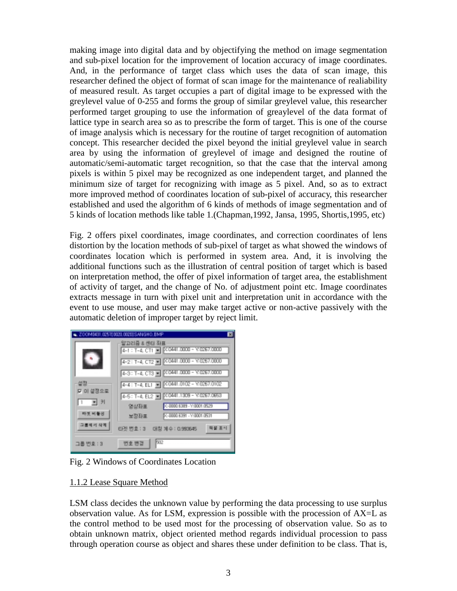making image into digital data and by objectifying the method on image segmentation and sub-pixel location for the improvement of location accuracy of image coordinates. And, in the performance of target class which uses the data of scan image, this researcher defined the object of format of scan image for the maintenance of realiability of measured result. As target occupies a part of digital image to be expressed with the greylevel value of 0-255 and forms the group of similar greylevel value, this researcher performed target grouping to use the information of greaylevel of the data format of lattice type in search area so as to prescribe the form of target. This is one of the course of image analysis which is necessary for the routine of target recognition of automation concept. This researcher decided the pixel beyond the initial greylevel value in search area by using the information of greylevel of image and designed the routine of automatic/semi-automatic target recognition, so that the case that the interval among pixels is within 5 pixel may be recognized as one independent target, and planned the minimum size of target for recognizing with image as 5 pixel. And, so as to extract more improved method of coordinates location of sub-pixel of accuracy, this researcher established and used the algorithm of 6 kinds of methods of image segmentation and of 5 kinds of location methods like table 1.(Chapman,1992, Jansa, 1995, Shortis,1995, etc)

Fig. 2 offers pixel coordinates, image coordinates, and correction coordinates of lens distortion by the location methods of sub-pixel of target as what showed the windows of coordinates location which is performed in system area. And, it is involving the additional functions such as the illustration of central position of target which is based on interpretation method, the offer of pixel information of target area, the establishment of activity of target, and the change of No. of adjustment point etc. Image coordinates extracts message in turn with pixel unit and interpretation unit in accordance with the event to use mouse, and user may make target active or non-active passively with the automatic deletion of improper target by reject limit.

|                                                | . ZOOMI431.02570020.00200SANGHO.BMP                                                                                                                             | Е |
|------------------------------------------------|-----------------------------------------------------------------------------------------------------------------------------------------------------------------|---|
|                                                | -알고리즘 & 센터 좌표<br>4-1 : T-4, CT1 =   X 0441.0000 - Y:0267.0000<br>4-3: T-4, CT3 2   X 0441.0000 - Y:0257.0000                                                    |   |
| 설정<br>포 미 설정으로<br>$1 - 7$<br>타켓 비출장<br>그룹배서 삭제 | 4-4: T-4, EL1 3   CO441.0102 - V.0267.0102<br>43-00000 BS89 - Y:00001.0529<br>영상좌표<br>PC-0000 6391 - Y:0001.0531<br>보정좌표<br>평생 종사<br>타겟 변호 : 3 대칭 계수 : 0.993645 |   |
| 그룹 번호 : 3                                      | 502<br>번호 변관                                                                                                                                                    |   |

Fig. 2 Windows of Coordinates Location

# 1.1.2 Lease Square Method

LSM class decides the unknown value by performing the data processing to use surplus observation value. As for LSM, expression is possible with the procession of AX=L as the control method to be used most for the processing of observation value. So as to obtain unknown matrix, object oriented method regards individual procession to pass through operation course as object and shares these under definition to be class. That is,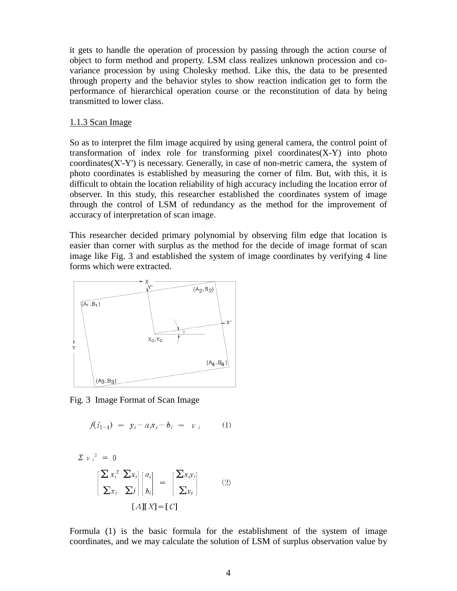it gets to handle the operation of procession by passing through the action course of object to form method and property. LSM class realizes unknown procession and covariance procession by using Cholesky method. Like this, the data to be presented through property and the behavior styles to show reaction indication get to form the performance of hierarchical operation course or the reconstitution of data by being transmitted to lower class.

#### 1.1.3 Scan Image

So as to interpret the film image acquired by using general camera, the control point of transformation of index role for transforming pixel coordinates $(X-Y)$  into photo coordinates(X'-Y') is necessary. Generally, in case of non-metric camera, the system of photo coordinates is established by measuring the corner of film. But, with this, it is difficult to obtain the location reliability of high accuracy including the location error of observer. In this study, this researcher established the coordinates system of image through the control of LSM of redundancy as the method for the improvement of accuracy of interpretation of scan image.

This researcher decided primary polynomial by observing film edge that location is easier than corner with surplus as the method for the decide of image format of scan image like Fig. 3 and established the system of image coordinates by verifying 4 line forms which were extracted.



Fig. 3 Image Format of Scan Image

$$
f(i_{1-4}) = y_j - a_i x_j - b_i = v_j \tag{1}
$$

$$
\Sigma \nu_j^2 = 0
$$
  

$$
\left[ \frac{\sum x_j^2 \sum x_j}{\sum x_j} \right] \begin{bmatrix} a_i \\ b_i \end{bmatrix} = \left[ \frac{\sum x_j y_j}{\sum y_j} \right]
$$
 (2)  

$$
[A][X] = [C]
$$

Formula (1) is the basic formula for the establishment of the system of image coordinates, and we may calculate the solution of LSM of surplus observation value by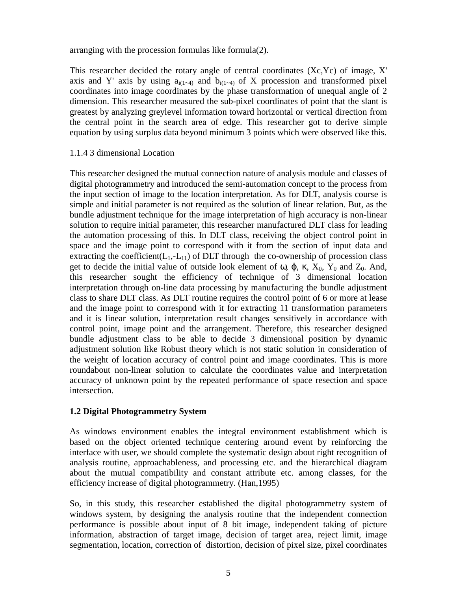arranging with the procession formulas like formula(2).

This researcher decided the rotary angle of central coordinates (Xc,Yc) of image, X' axis and Y' axis by using  $a_{i(1-4)}$  and  $b_{i(1-4)}$  of X procession and transformed pixel coordinates into image coordinates by the phase transformation of unequal angle of 2 dimension. This researcher measured the sub-pixel coordinates of point that the slant is greatest by analyzing greylevel information toward horizontal or vertical direction from the central point in the search area of edge. This researcher got to derive simple equation by using surplus data beyond minimum 3 points which were observed like this.

#### 1.1.4 3 dimensional Location

This researcher designed the mutual connection nature of analysis module and classes of digital photogrammetry and introduced the semi-automation concept to the process from the input section of image to the location interpretation. As for DLT, analysis course is simple and initial parameter is not required as the solution of linear relation. But, as the bundle adjustment technique for the image interpretation of high accuracy is non-linear solution to require initial parameter, this researcher manufactured DLT class for leading the automation processing of this. In DLT class, receiving the object control point in space and the image point to correspond with it from the section of input data and extracting the coefficient( $L_1$ ,- $L_{11}$ ) of DLT through the co-ownership of procession class get to decide the initial value of outside look element of ω,  $φ$ , κ,  $X_0$ ,  $Y_0$  and  $Z_0$ . And, this researcher sought the efficiency of technique of 3 dimensional location interpretation through on-line data processing by manufacturing the bundle adjustment class to share DLT class. As DLT routine requires the control point of 6 or more at lease and the image point to correspond with it for extracting 11 transformation parameters and it is linear solution, interpretation result changes sensitively in accordance with control point, image point and the arrangement. Therefore, this researcher designed bundle adjustment class to be able to decide 3 dimensional position by dynamic adjustment solution like Robust theory which is not static solution in consideration of the weight of location accuracy of control point and image coordinates. This is more roundabout non-linear solution to calculate the coordinates value and interpretation accuracy of unknown point by the repeated performance of space resection and space intersection.

# **1.2 Digital Photogrammetry System**

As windows environment enables the integral environment establishment which is based on the object oriented technique centering around event by reinforcing the interface with user, we should complete the systematic design about right recognition of analysis routine, approachableness, and processing etc. and the hierarchical diagram about the mutual compatibility and constant attribute etc. among classes, for the efficiency increase of digital photogrammetry. (Han,1995)

So, in this study, this researcher established the digital photogrammetry system of windows system, by designing the analysis routine that the independent connection performance is possible about input of 8 bit image, independent taking of picture information, abstraction of target image, decision of target area, reject limit, image segmentation, location, correction of distortion, decision of pixel size, pixel coordinates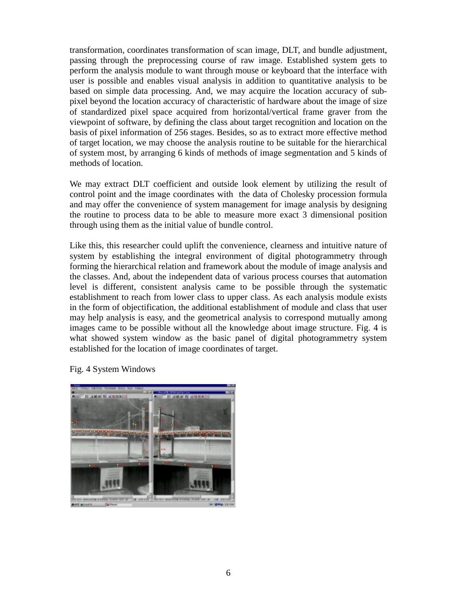transformation, coordinates transformation of scan image, DLT, and bundle adjustment, passing through the preprocessing course of raw image. Established system gets to perform the analysis module to want through mouse or keyboard that the interface with user is possible and enables visual analysis in addition to quantitative analysis to be based on simple data processing. And, we may acquire the location accuracy of subpixel beyond the location accuracy of characteristic of hardware about the image of size of standardized pixel space acquired from horizontal/vertical frame graver from the viewpoint of software, by defining the class about target recognition and location on the basis of pixel information of 256 stages. Besides, so as to extract more effective method of target location, we may choose the analysis routine to be suitable for the hierarchical of system most, by arranging 6 kinds of methods of image segmentation and 5 kinds of methods of location.

We may extract DLT coefficient and outside look element by utilizing the result of control point and the image coordinates with the data of Cholesky procession formula and may offer the convenience of system management for image analysis by designing the routine to process data to be able to measure more exact 3 dimensional position through using them as the initial value of bundle control.

Like this, this researcher could uplift the convenience, clearness and intuitive nature of system by establishing the integral environment of digital photogrammetry through forming the hierarchical relation and framework about the module of image analysis and the classes. And, about the independent data of various process courses that automation level is different, consistent analysis came to be possible through the systematic establishment to reach from lower class to upper class. As each analysis module exists in the form of objectification, the additional establishment of module and class that user may help analysis is easy, and the geometrical analysis to correspond mutually among images came to be possible without all the knowledge about image structure. Fig. 4 is what showed system window as the basic panel of digital photogrammetry system established for the location of image coordinates of target.

Fig. 4 System Windows

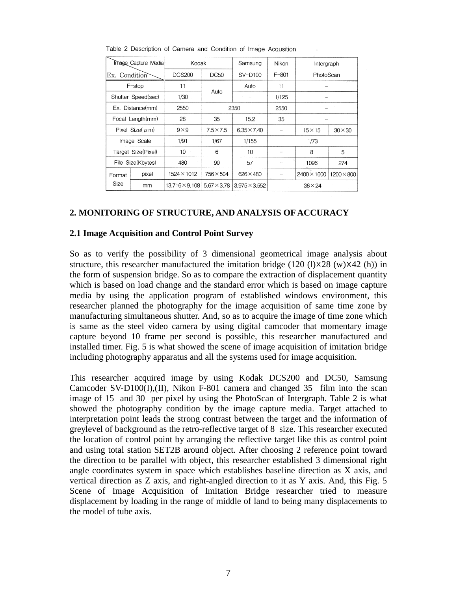| <b>Image Capture Media</b> |                    | Kodak                 |                    | Samsung              | Nikon          | Intergraph         |                   |
|----------------------------|--------------------|-----------------------|--------------------|----------------------|----------------|--------------------|-------------------|
| Ex. Condition              |                    | <b>DCS200</b>         | <b>DC50</b>        | $SV-D100$            | $F - 801$      | PhotoScan          |                   |
| $F$ -stop                  |                    | 11                    |                    | Auto                 | 11             |                    |                   |
| Shutter Speed(sec)         |                    | Auto<br>1/30          |                    | 1/125                |                |                    |                   |
| Ex. Distance(mm)           |                    | 2550                  |                    | 2350                 | 2550           | -                  |                   |
| Focal Length(mm)           |                    | 28                    | 35                 | 15.2                 | 35             | -                  |                   |
| Pixel Size( $\mu$ m)       |                    | $9 \times 9$          | $7.5 \times 7.5$   | $6.35 \times 7.40$   |                | $15 \times 15$     | $30 \times 30$    |
| Image Scale                |                    | 1/91                  | 1/67               | 1/155                | 1/73           |                    |                   |
|                            | Target Size(Pixel) | 10                    | 6                  | 10                   | 8<br>5         |                    |                   |
| File Size(Kbytes)          |                    | 480                   | 90                 | 57                   |                | 274<br>1096        |                   |
| Format                     | pixel              | 1524×1012             | $756 \times 504$   | $626 \times 480$     |                | $2400 \times 1600$ | $1200 \times 800$ |
| Size                       | mm                 | $13.716 \times 9.108$ | $5.67 \times 3.78$ | $3.975 \times 3.552$ | $36 \times 24$ |                    |                   |

Table 2 Description of Camera and Condition of Image Acqusition

#### **2. MONITORING OF STRUCTURE, AND ANALYSIS OF ACCURACY**

#### **2.1 Image Acquisition and Control Point Survey**

So as to verify the possibility of 3 dimensional geometrical image analysis about structure, this researcher manufactured the imitation bridge  $(120 \text{ (l)} \times 28 \text{ (w)} \times 42 \text{ (h)})$  in the form of suspension bridge. So as to compare the extraction of displacement quantity which is based on load change and the standard error which is based on image capture media by using the application program of established windows environment, this researcher planned the photography for the image acquisition of same time zone by manufacturing simultaneous shutter. And, so as to acquire the image of time zone which is same as the steel video camera by using digital camcoder that momentary image capture beyond 10 frame per second is possible, this researcher manufactured and installed timer. Fig. 5 is what showed the scene of image acquisition of imitation bridge including photography apparatus and all the systems used for image acquisition.

This researcher acquired image by using Kodak DCS200 and DC50, Samsung Camcoder SV-D100(I),(II), Nikon F-801 camera and changed 35 film into the scan image of 15 and 30 per pixel by using the PhotoScan of Intergraph. Table 2 is what showed the photography condition by the image capture media. Target attached to interpretation point leads the strong contrast between the target and the information of greylevel of background as the retro-reflective target of 8 size. This researcher executed the location of control point by arranging the reflective target like this as control point and using total station SET2B around object. After choosing 2 reference point toward the direction to be parallel with object, this researcher established 3 dimensional right angle coordinates system in space which establishes baseline direction as X axis, and vertical direction as Z axis, and right-angled direction to it as Y axis. And, this Fig. 5 Scene of Image Acquisition of Imitation Bridge researcher tried to measure displacement by loading in the range of middle of land to being many displacements to the model of tube axis.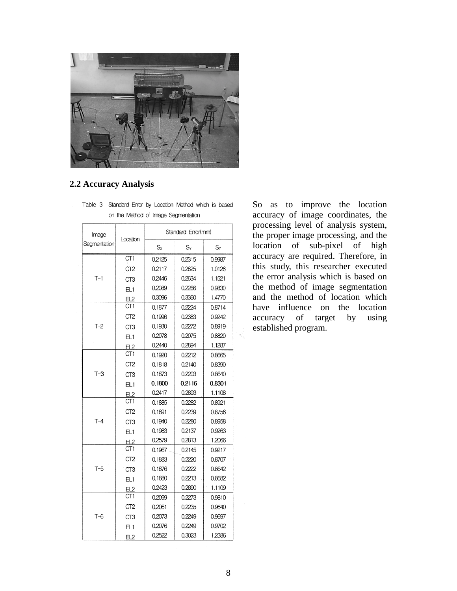

#### **2.2 Accuracy Analysis**

| Image        |                 | Standard Error(mm) |        |                |  |  |
|--------------|-----------------|--------------------|--------|----------------|--|--|
| Segmentation | Location        | $S_{X}$            | $S_Y$  | S <sub>7</sub> |  |  |
|              | CT <sub>1</sub> | 0.2125             | 0.2315 | 0.9987         |  |  |
|              | CT <sub>2</sub> | 0.2117             | 0.2825 | 1.0126         |  |  |
| $T-1$        | CT3             | 0.2446             | 0.2634 | 1.1521         |  |  |
|              | EL <sub>1</sub> | 0.2089             | 0.2266 | 0.9830         |  |  |
|              | EL2             | 0.3096             | 0.3360 | 1.4770         |  |  |
|              | CT <sub>1</sub> | 0.1877             | 0.2224 | 0.8714         |  |  |
|              | CT <sub>2</sub> | 0.1996             | 0.2383 | 0.9242         |  |  |
| $T-2$        | CT <sub>3</sub> | 0.1930             | 0.2272 | 0.8919         |  |  |
|              | EL1             | 0.2078             | 0.2075 | 0.8820         |  |  |
|              | <u>EL2</u>      | 0.2440             | 0.2894 | 1.1287         |  |  |
|              | CT <sub>1</sub> | 0.1920             | 0.2212 | 0.8665         |  |  |
|              | CT <sub>2</sub> | 0.1818             | 0.2140 | 0.8390         |  |  |
| $T-3$        | CT <sub>3</sub> | 0.1873             | 0.2203 | 0.8640         |  |  |
|              | EL <sub>1</sub> | 0.1800             | 0.2116 | 0.8301         |  |  |
|              | <u>EL2</u>      | 0.2417             | 0.2893 | 1.1108         |  |  |
|              | CT <sub>1</sub> | 0.1885             | 0.2282 | 0.8921         |  |  |
|              | CT <sub>2</sub> | 0.1891             | 0.2239 | 0.8756         |  |  |
| $T-4$        | CT <sub>3</sub> | 0.1940             | 0.2280 | 0.8958         |  |  |
|              | EL1             | 0.1983             | 0.2137 | 0.9263         |  |  |
|              | F12             | 0.2579             | 0.2813 | 1.2066         |  |  |
|              | CT <sub>1</sub> | 0.1967             | 0.2145 | 0.9217         |  |  |
|              | CT <sub>2</sub> | 0.1883             | 0.2220 | 0.8707         |  |  |
| $T-5$        | CT3             | 0.1876             | 0.2222 | 0.8642         |  |  |
|              | EL1             | 0.1880             | 0.2213 | 0.8682         |  |  |
|              | <u>EL2</u>      | 0.2423             | 0.2890 | 1.1109         |  |  |
|              | CT1             | 0.2099             | 0.2273 | 0.9810         |  |  |
|              | CT <sub>2</sub> | 0.2061             | 0.2235 | 0.9640         |  |  |
| Т-6          | CT <sub>3</sub> | 0.2073             | 0.2249 | 0.9697         |  |  |
|              | EL <sub>1</sub> | 0.2076             | 0.2249 | 0.9702         |  |  |
|              | FI <sub>2</sub> | 0.2522             | 0.3023 | 1.2386         |  |  |

Table 3 Standard Error by Location Method which is based on the Method of Image Segmentation

So as to improve the location accuracy of image coordinates, the processing level of analysis system, the proper image processing, and the location of sub-pixel of high accuracy are required. Therefore, in this study, this researcher executed the error analysis which is based on the method of image segmentation and the method of location which have influence on the location accuracy of target by using established program.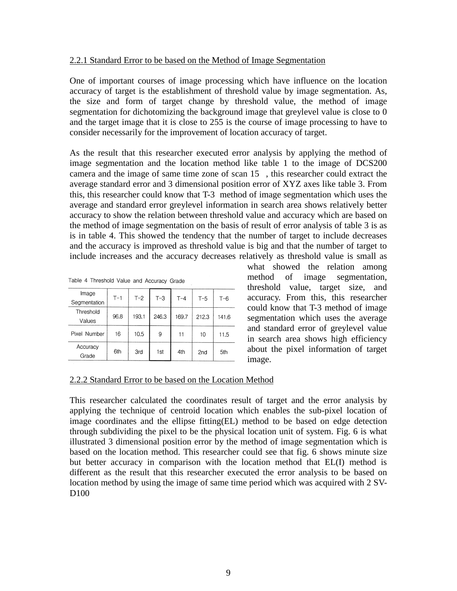#### 2.2.1 Standard Error to be based on the Method of Image Segmentation

One of important courses of image processing which have influence on the location accuracy of target is the establishment of threshold value by image segmentation. As, the size and form of target change by threshold value, the method of image segmentation for dichotomizing the background image that greylevel value is close to 0 and the target image that it is close to 255 is the course of image processing to have to consider necessarily for the improvement of location accuracy of target.

As the result that this researcher executed error analysis by applying the method of image segmentation and the location method like table 1 to the image of DCS200 camera and the image of same time zone of scan 15 , this researcher could extract the average standard error and 3 dimensional position error of XYZ axes like table 3. From this, this researcher could know that T-3 method of image segmentation which uses the average and standard error greylevel information in search area shows relatively better accuracy to show the relation between threshold value and accuracy which are based on the method of image segmentation on the basis of result of error analysis of table 3 is as is in table 4. This showed the tendency that the number of target to include decreases and the accuracy is improved as threshold value is big and that the number of target to include increases and the accuracy decreases relatively as threshold value is small as

| rable 4 Threshold Value and Accuracy Grade |       |       |       |       |       |         |  |
|--------------------------------------------|-------|-------|-------|-------|-------|---------|--|
| Image<br>Segmentation                      | $T-1$ | $T-2$ | $T-3$ | $T-4$ | $T-5$ | $T - 6$ |  |
| Threshold<br>Values                        | 96.8  | 193.1 | 246.3 | 169.7 | 212.3 | 141.6   |  |
| Pixel Number                               | 16    | 10.5  | 9     | 11    | 10    | 11.5    |  |
| Accuracy<br>Grade                          | 6th   | 3rd   | 1st   | 4th   | 2nd   | 5th     |  |

Toble 4 Throphold Volug  $\sim$   $\sim$ 

what showed the relation among method of image segmentation, threshold value, target size, and accuracy. From this, this researcher could know that T-3 method of image segmentation which uses the average and standard error of greylevel value in search area shows high efficiency about the pixel information of target image.

#### 2.2.2 Standard Error to be based on the Location Method

This researcher calculated the coordinates result of target and the error analysis by applying the technique of centroid location which enables the sub-pixel location of image coordinates and the ellipse fitting(EL) method to be based on edge detection through subdividing the pixel to be the physical location unit of system. Fig. 6 is what illustrated 3 dimensional position error by the method of image segmentation which is based on the location method. This researcher could see that fig. 6 shows minute size but better accuracy in comparison with the location method that EL(I) method is different as the result that this researcher executed the error analysis to be based on location method by using the image of same time period which was acquired with 2 SV-D<sub>100</sub>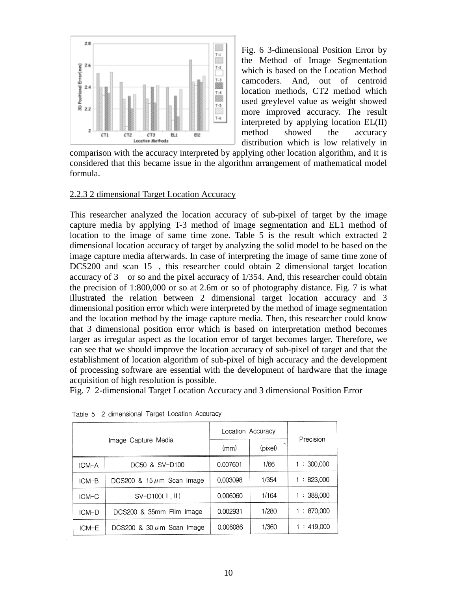

Fig. 6 3-dimensional Position Error by the Method of Image Segmentation which is based on the Location Method camcoders. And, out of centroid location methods, CT2 method which used greylevel value as weight showed more improved accuracy. The result interpreted by applying location EL(II) method showed the accuracy distribution which is low relatively in

comparison with the accuracy interpreted by applying other location algorithm, and it is considered that this became issue in the algorithm arrangement of mathematical model formula.

# 2.2.3 2 dimensional Target Location Accuracy

This researcher analyzed the location accuracy of sub-pixel of target by the image capture media by applying T-3 method of image segmentation and EL1 method of location to the image of same time zone. Table 5 is the result which extracted 2 dimensional location accuracy of target by analyzing the solid model to be based on the image capture media afterwards. In case of interpreting the image of same time zone of DCS200 and scan 15 , this researcher could obtain 2 dimensional target location accuracy of 3 or so and the pixel accuracy of 1/354. And, this researcher could obtain the precision of 1:800,000 or so at 2.6m or so of photography distance. Fig. 7 is what illustrated the relation between 2 dimensional target location accuracy and 3 dimensional position error which were interpreted by the method of image segmentation and the location method by the image capture media. Then, this researcher could know that 3 dimensional position error which is based on interpretation method becomes larger as irregular aspect as the location error of target becomes larger. Therefore, we can see that we should improve the location accuracy of sub-pixel of target and that the establishment of location algorithm of sub-pixel of high accuracy and the development of processing software are essential with the development of hardware that the image acquisition of high resolution is possible.

Fig. 7 2-dimensional Target Location Accuracy and 3 dimensional Position Error

| Image Capture Media |                                | Location Accuracy |         |           |
|---------------------|--------------------------------|-------------------|---------|-----------|
|                     |                                | (mm)              | (pixel) | Precision |
| ICM-A               | DC50 & SV-D100                 | 0.007601          | 1/66    | 1:300,000 |
| ICM-B               | DCS200 & $15 \mu m$ Scan Image | 0.003098          | 1/354   | 1:823,000 |
| $ICM-C$             | SV-D100( I, II)                | 0.006060          | 1/164   | ∶ 388.000 |
| ICM-D               | DCS200 & 35mm Film Image       | 0.002931          | 1/280   | :870,000  |
| ICM-E               | DCS200 & 30 $\mu$ m Scan Image | 0.006086          | 1/360   | 1:419,000 |

Table 5 2 dimensional Target Location Accuracy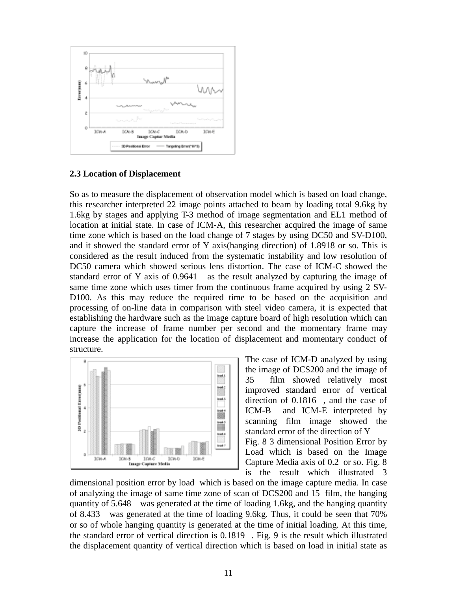

#### **2.3 Location of Displacement**

So as to measure the displacement of observation model which is based on load change, this researcher interpreted 22 image points attached to beam by loading total 9.6kg by 1.6kg by stages and applying T-3 method of image segmentation and EL1 method of location at initial state. In case of ICM-A, this researcher acquired the image of same time zone which is based on the load change of 7 stages by using DC50 and SV-D100, and it showed the standard error of Y axis(hanging direction) of 1.8918 or so. This is considered as the result induced from the systematic instability and low resolution of DC50 camera which showed serious lens distortion. The case of ICM-C showed the standard error of Y axis of 0.9641 as the result analyzed by capturing the image of same time zone which uses timer from the continuous frame acquired by using 2 SV-D100. As this may reduce the required time to be based on the acquisition and processing of on-line data in comparison with steel video camera, it is expected that establishing the hardware such as the image capture board of high resolution which can capture the increase of frame number per second and the momentary frame may increase the application for the location of displacement and momentary conduct of structure.



The case of ICM-D analyzed by using the image of DCS200 and the image of 35 film showed relatively most improved standard error of vertical direction of 0.1816 , and the case of ICM-B and ICM-E interpreted by scanning film image showed the standard error of the direction of Y Fig. 8 3 dimensional Position Error by Load which is based on the Image Capture Media axis of 0.2 or so. Fig. 8 is the result which illustrated 3

dimensional position error by load which is based on the image capture media. In case of analyzing the image of same time zone of scan of DCS200 and 15 film, the hanging quantity of 5.648 was generated at the time of loading 1.6kg, and the hanging quantity of 8.433 was generated at the time of loading 9.6kg. Thus, it could be seen that 70% or so of whole hanging quantity is generated at the time of initial loading. At this time, the standard error of vertical direction is 0.1819 . Fig. 9 is the result which illustrated the displacement quantity of vertical direction which is based on load in initial state as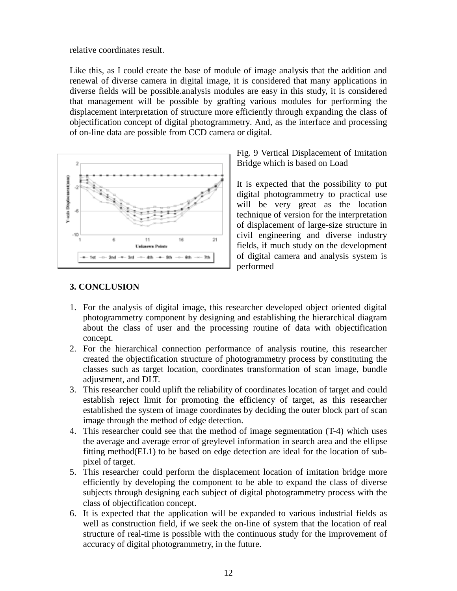relative coordinates result.

Like this, as I could create the base of module of image analysis that the addition and renewal of diverse camera in digital image, it is considered that many applications in diverse fields will be possible.analysis modules are easy in this study, it is considered that management will be possible by grafting various modules for performing the displacement interpretation of structure more efficiently through expanding the class of objectification concept of digital photogrammetry. And, as the interface and processing of on-line data are possible from CCD camera or digital.



Fig. 9 Vertical Displacement of Imitation Bridge which is based on Load

It is expected that the possibility to put digital photogrammetry to practical use will be very great as the location technique of version for the interpretation of displacement of large-size structure in civil engineering and diverse industry fields, if much study on the development of digital camera and analysis system is performed

# **3. CONCLUSION**

- 1. For the analysis of digital image, this researcher developed object oriented digital photogrammetry component by designing and establishing the hierarchical diagram about the class of user and the processing routine of data with objectification concept.
- 2. For the hierarchical connection performance of analysis routine, this researcher created the objectification structure of photogrammetry process by constituting the classes such as target location, coordinates transformation of scan image, bundle adjustment, and DLT.
- 3. This researcher could uplift the reliability of coordinates location of target and could establish reject limit for promoting the efficiency of target, as this researcher established the system of image coordinates by deciding the outer block part of scan image through the method of edge detection.
- 4. This researcher could see that the method of image segmentation (T-4) which uses the average and average error of greylevel information in search area and the ellipse fitting method(EL1) to be based on edge detection are ideal for the location of subpixel of target.
- 5. This researcher could perform the displacement location of imitation bridge more efficiently by developing the component to be able to expand the class of diverse subjects through designing each subject of digital photogrammetry process with the class of objectification concept.
- 6. It is expected that the application will be expanded to various industrial fields as well as construction field, if we seek the on-line of system that the location of real structure of real-time is possible with the continuous study for the improvement of accuracy of digital photogrammetry, in the future.